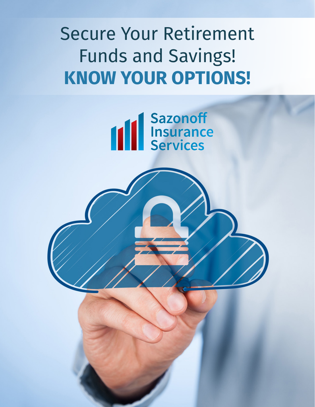# Secure Your Retirement Funds and Savings! **KNOW YOUR OPTIONS!**



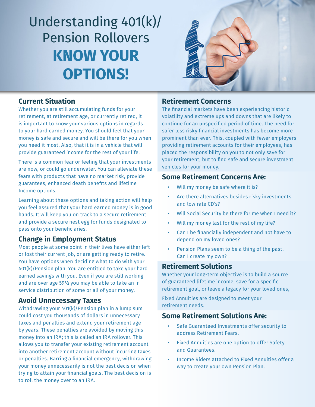# Understanding 401(k)/ Pension Rollovers **KNOW YOUR OPTIONS!**



#### **Current Situation**

Whether you are still accumulating funds for your retirement, at retirement age, or currently retired, it is important to know your various options in regards to your hard earned money. You should feel that your money is safe and secure and will be there for you when you need it most. Also, that it is in a vehicle that will provide guaranteed income for the rest of your life.

There is a common fear or feeling that your investments are now, or could go underwater. You can alleviate these fears with products that have no market risk, provide guarantees, enhanced death benefits and lifetime Income options.

Learning about these options and taking action will help you feel assured that your hard earned money is in good hands. It will keep you on track to a secure retirement and provide a secure nest egg for funds designated to pass onto your beneficiaries.

#### **Change in Employment Status**

Most people at some point in their lives have either left or lost their current job, or are getting ready to retire. You have options when deciding what to do with your 401(k)/Pension plan. You are entitled to take your hard earned savings with you. Even if you are still working and are over age 59½ you may be able to take an inservice distribution of some or all of your money.

#### **Avoid Unnecessary Taxes**

Withdrawing your 401(k)/Pension plan in a lump sum could cost you thousands of dollars in unnecessary taxes and penalties and extend your retirement age by years. These penalties are avoided by moving this money into an IRA; this is called an IRA rollover. This allows you to transfer your existing retirement account into another retirement account without incurring taxes or penalties. Barring a financial emergency, withdrawing your money unnecessarily is not the best decision when trying to attain your financial goals. The best decision is to roll the money over to an IRA.

#### **Retirement Concerns**

The financial markets have been experiencing historic volatility and extreme ups and downs that are likely to continue for an unspecified period of time. The need for safer less risky financial investments has become more prominent than ever. This, coupled with fewer employers providing retirement accounts for their employees, has placed the responsibility on you to not only save for your retirement, but to find safe and secure investment vehicles for your money.

#### **Some Retirement Concerns Are:**

- Will my money be safe where it is?
- Are there alternatives besides risky investments and low rate CD's?
- Will Social Security be there for me when I need it?
- Will my money last for the rest of my life?
- Can I be financially independent and not have to depend on my loved ones?
- Pension Plans seem to be a thing of the past. Can I create my own?

#### **Retirement Solutions**

Whether your long-term objective is to build a source of guaranteed lifetime income, save for a specific retirement goal, or leave a legacy for your loved ones,

Fixed Annuities are designed to meet your retirement needs.

#### **Some Retirement Solutions Are:**

- Safe Guaranteed Investments offer security to address Retirement Fears.
- Fixed Annuities are one option to offer Safety and Guarantees.
- Income Riders attached to Fixed Annuities offer a way to create your own Pension Plan.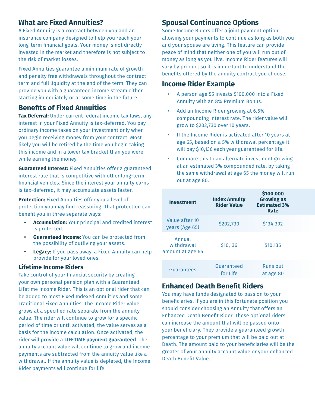#### **What are Fixed Annuities?**

A Fixed Annuity is a contract between you and an insurance company designed to help you reach your long-term financial goals. Your money is not directly invested in the market and therefore is not subject to the risk of market losses.

Fixed Annuities guarantee a minimum rate of growth and penalty free withdrawals throughout the contract term and full liquidity at the end of the term. They can provide you with a guaranteed income stream either starting immediately or at some time in the future.

# **Benefits of Fixed Annuities**

**Tax Deferral:** Under current federal income tax laws, any interest in your Fixed Annuity is tax-deferred. You pay ordinary income taxes on your investment only when you begin receiving money from your contract. Most likely you will be retired by the time you begin taking this income and in a lower tax bracket than you were while earning the money.

**Guaranteed Interest:** Fixed Annuities offer a guaranteed interest rate that is competitive with other long-term financial vehicles. Since the interest your annuity earns is tax-deferred, it may accumulate assets faster.

**Protection:** Fixed Annuities offer you a level of protection you may find reassuring. That protection can benefit you in three separate ways:

- **• Accumulation:** Your principal and credited interest is protected.
- **• Guaranteed Income:** You can be protected from the possibility of outliving your assets.
- **• Legacy:** If you pass away, a Fixed Annuity can help provide for your loved ones.

#### **Lifetime Income Riders**

Take control of your financial security by creating your own personal pension plan with a Guaranteed Lifetime Income Rider. This is an optional rider that can be added to most Fixed Indexed Annuities and some Traditional Fixed Annuities. The Income Rider value grows at a specified rate separate from the annuity value. The rider will continue to grow for a specific period of time or until activated, the value serves as a basis for the income calculation. Once activated, the rider will provide a **LIFETIME payment guaranteed**. The annuity account value will continue to grow and income payments are subtracted from the annuity value like a withdrawal. If the annuity value is depleted, the Income Rider payments will continue for life.

# **Spousal Continuance Options**

Some Income Riders offer a joint payment option, allowing your payments to continue as long as both you and your spouse are living. This feature can provide peace of mind that neither one of you will run out of money as long as you live. Income Rider features will vary by product so it is important to understand the benefits offered by the annuity contract you choose.

### **Income Rider Example**

- A person age 55 invests \$100,000 into a Fixed Annuity with an 8% Premium Bonus.
- Add an Income Rider growing at 6.5% compounding interest rate. The rider value will grow to \$202,730 over 10 years.
- If the Income Rider is activated after 10 years at age 65, based on a 5% withdrawal percentage it will pay \$10,136 each year guaranteed for life.
- Compare this to an alternate investment growing at an estimated 3% compounded rate, by taking the same withdrawal at age 65 the money will run out at age 80.

| <b>Investment</b>                        | <b>Index Annuity</b><br><b>Rider Value</b> | \$100,000<br><b>Growing as</b><br><b>Estimated 3%</b><br>Rate |
|------------------------------------------|--------------------------------------------|---------------------------------------------------------------|
| Value after 10<br>years (Age 65)         | \$202,730                                  | \$134,392                                                     |
| Annual<br>withdrawal<br>amount at age 65 | \$10,136                                   | \$10,136                                                      |
| Guarantees                               | Guaranteed<br>for Life                     | <b>Runs out</b><br>at age 80                                  |

# **Enhanced Death Benefit Riders**

You may have funds designated to pass on to your beneficiaries. If you are in this fortunate position you should consider choosing an Annuity that offers an Enhanced Death Benefit Rider. These optional riders can increase the amount that will be passed onto your beneficiary. They provide a guaranteed growth percentage to your premium that will be paid out at Death. The amount paid to your beneficiaries will be the greater of your annuity account value or your enhanced Death Benefit Value.